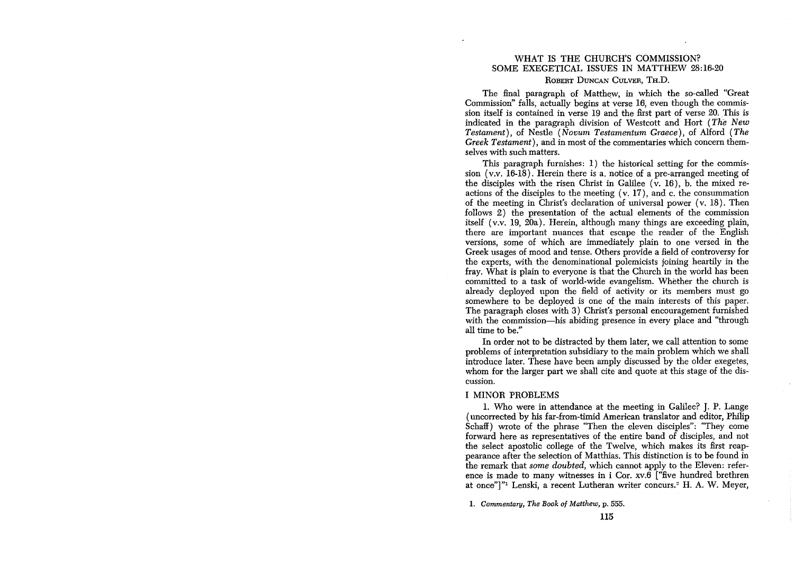# WHAT IS THE CHURCH'S COMMISSION? SOME EXEGETICAL ISSUES IN MATTHEW 28:16-20 ROBERT DUNCAN CULVER, TH.D.

The final paragraph of Matthew, in which the so-called "Great" Commission" falls, actually begins at verse 16, even though the commission itself is contained in verse 19 and the first part of verse 20. This is indicated in the paragraph division of Westcott and Hort (The *New Testament),* of Nestle *(Novum Testamentum Graece)*, of Alford *(The Greek Testament),* and in most of the commentaries which concern themselves with such matters.

This paragraph furnishes: 1) the historical setting for the commission (v.v. 16-18). Herein there is a. notice of a pre-arranged meeting of the disciples with the risen Christ in Galilee  $(v, 16)$ , b. the mixed reactions of the disciples to the meeting (v. 17), and c. the consummation of the meeting in Christ's declaration of universal power (v. 18). Then follows 2) the presentation of the actual elements of the commission itself (v.v. 19, 20a). Herein, although many things are exceeding plain, there are important nuances that escape the reader of the English versions, some of which are immediately plain to one versed in the Greek usages of mood and tense. Others provide a field of controversy for the experts, with the denominational polemicists joining heartily in the fray. What is plain to everyone is that the Church in the world has been committed to a task of world-wide evangelism. Whether the church is already deployed upon the field of activity or its members must go somewhere to be deployed is one of the main interests of this paper. The paragraph closes with 3) Christ's personal encouragement furnished with the commission-his abiding presence in every place and "through all time to be."

In order not to be distracted by them later, we call attention to some problems of interpretation subsidiary to the main problem which we shall introduce later. These have been amply discussed by the older exegetes, whom for the larger part we shall cite and quote at this stage of the discussion.

### I MINOR PROBLEMS

1. Who were in attendance at the meeting in Galilee? J. P. Lange (uncorrected by his far-from-timid American translator and editor, Philip Schaff) wrote of the phrase "Then the eleven disciples": "They come forward here as representatives of the entire band of disciples, and not the select apostolic college of the Twelve, which makes its first reappearance after the selection of Matthias. This distinction is to be found in the remark that *some doubted,* which cannot apply to the Eleven: reference is made to many witnesses in i Cor. xv.6 ["five hundred brethren at once"]"<sup>1</sup> Lenski, a recent Lutheran writer concurs.<sup>2</sup> H. A. W. Meyer,

1. *Commentary, The Book of Matthew,* p. 555.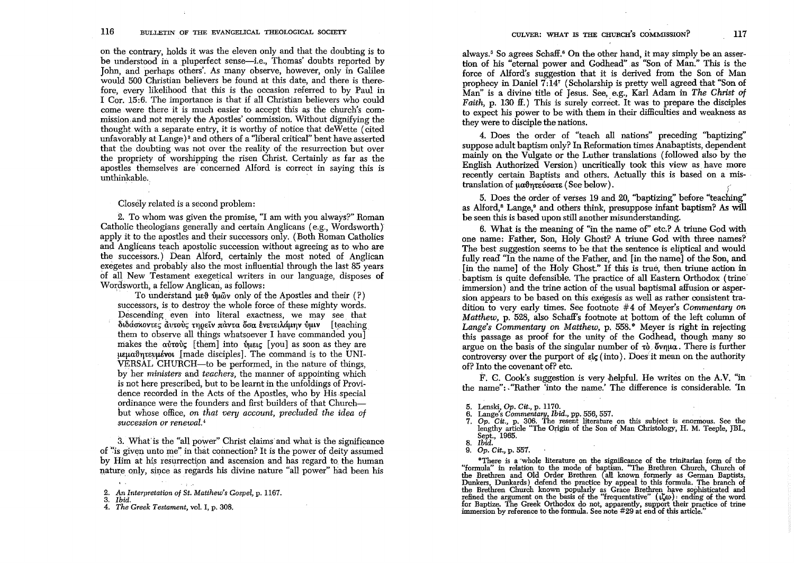on the contrary, holds it was the eleven only and that the doubting is to be understood in a pluperfect sense-i.e., Thomas' doubts reported by John, and perhaps others'. As many observe, however, only in Galilee would 500 Christian believers be found at this date, and there is therefore, every likelihood that this is the occasion referred to by Paul in I Cor.  $15:6$ . The importance is that if all Christian believers who could come were there it is much easier to accept this as the church's commission, and not merely the Apostles' commission. Without dignifying the thought with a separate entry, it is worthy of notice that deWette (cited unfavorably at Lange) 8 and others of a 'liberal critical" bent have asserted that the doubting was not over the reality of the resurrection but over the propriety of worshipping the risen Christ. Certainly as far as the apostles themselves are' concerned Alford is correct in saying this is unthinkable.

Closely related is a second problem:

2. To whom was given the promise, "I am with you always?" Roman Catholic theologians generally and certain Anglicans (e.g., Wordsworth) apply it to the apostles and their successors only. (Both Roman Catholics and Anglicans teach apostolic succession without agreeing as to who are the successors.) Dean Alford, certainly the most noted of Anglican exegetes and probably also the most influential through the last 85 years of all New Testament exegetical writers in our language, disposes of Wordsworth, a fellow Anglican, as follows:

To understand  $\mu \in \mathfrak{h}$  via v only of the Apostles and their (?) successors, is to destroy the whole force of these mighty words. Descending even into literal exactness, we may see that διδάσχοντες αυτούς τηρείν πάντα δσα ένετειλάμην ύμιν [teaching them to observe all things whatsoever I have commanded you] makes the  $\alpha\bar{\nu}\alpha\bar{\nu}c$  [them] into  $\dot{\nu}\alpha\mu\epsilon$  [you] as soon as they are  $\mu$ <sub>EU $\alpha$ </sub> $\beta$ <sub>ntev</sub> $\mu$ <sub>*ivol*</sub> [made disciples]. The command is to the UNI-VERSAL CHURCH-to be performed, in the nature of things, by her *ministers* and *teachers,* the manner of appointing which is not here prescribed, but to be learnt in the unfoldings of Providence recorded in the Acts of the Apostles, who by His special ordinance were the founders and first builders of that Churchbut whose office, *on that very account, precluded the idea of succession or renewal."* 

3. What is the "all power" Christ claims and what is the significance of "is given unto me" in that connection? It is the power of deity assumed by Him at his resurrection and ascension and has regard to the human nature only, since as regards his divine nature "all power" had been his always.<sup>5</sup> So agrees Schaff.<sup>6</sup> On the other hand, it may simply be an assertion of his "eternal power and Godhead" as "Son of Man." This is the force of Alford's suggestion that it is derived from the Son of Man prophecy in Daniel 7:147 (Scholarship is pretty well agreed that "Son of Man" is a divine title of Jesus. See, e.g., Karl Adam in *The Christ* of *Faith, p.* 130 ff.) This is surely correct. It was to prepare the disciples to expect his power to be with them in their difficulties and weakness as they were to disciple the nations.

4. Does the order of "teach all nations" preceding "baptizing" suppose adult baptism only? In Reformation times Anabaptists, dependent mainly on the Vulgate or the Luther translations (followed also by the English Authorized Version) uncritically took this view as have more recently certain Baptists and others. Actually this is based on a mistranslation of  $\mu\alpha\vartheta$ <sub>nte</sub> voate (See below).

5. Does the order of verses 19 and 20, "baptizing" before "teaching" as Alford,<sup>8</sup> Lange,<sup>9</sup> and others think, presuppose infant baptism? As will be seen this is based upon still another misunderstanding.

6. What is the meaning of "in the name of" etc.? A triune God with. one name: Father, Son, Holy Ghost? A triune God with three names? The best suggestion seems to be that the sentence is eliptical and would fully read "In the name of the Father, and [in the name] of the Son, and [in the name] of the Holy Ghost." If this is true, then triune action in . baptism is quite defensible. The practice of all Eastern Orthodox (trine' immersion) and the trine action of the usual baptismal affusion or aspersion appears to be based on this exegesis as well as rather consistent tradition to very early times. See footnote #4 of Meyer's *Commentary on Matthew,* p. 528, also Schaff's footnote at pottom of the left column of Lange's Commentary on *Matthew*, p. 558.<sup>\*</sup> Meyer is right in rejecting this passage as proof for the unity of the Godhead, though many so argue on the basis of the singular number of  $\tau_0$  oving There is further controversy over the purport of  $\epsilon\mathbf{k}$  (into). Does it mean on the authority of? Into the covenant of? etc.

F. C. Cook's suggestion is very helpful. He writes on the A.V. "in the name":. "Rather 'into the name.' The difference is considerable. 'In

- 5. Lenski, *Op. Cit.,* p. 1170.
- 6. Lange's Commenta~y, *Ibid.,* pp. 556, 557.
- *7. Op. Cit.,* p. 306. The resent literature on this subject is enormous. See the lengthy article "The Origin of the Son of Man Christology, H. M. Teeple, JBL, Sept., 1965.
- *8. Ibid.*

*9. Op. Cit.,* p. 557.

"There is a 'whole literature on the Significance of the trinitarian form of the "formula" in relation to the mode of baptism. "The Brethren Church, Church of the Brethren and Old Order Brethren (all known formerly as German Baptists, Dunkers, Dunkards) defend the practice by appeal to this formula. The branch of the Brethren Church known popularly as Grace Brethren have sophisticated and refined the argument on the basis of the "frequentative"  $(\iota \zeta$ for Baptize. The Greek Orthodox do not, apparently, support their practice of trine immersion by reference to the formula. See note #29 at end of this article."

*<sup>2.</sup> An Interpretation of St. Matthew's Gospel,* p. 1167.

*<sup>3.</sup> Ibid.* 

*<sup>4.</sup> The Greek Testament,* vol. I, p. 308.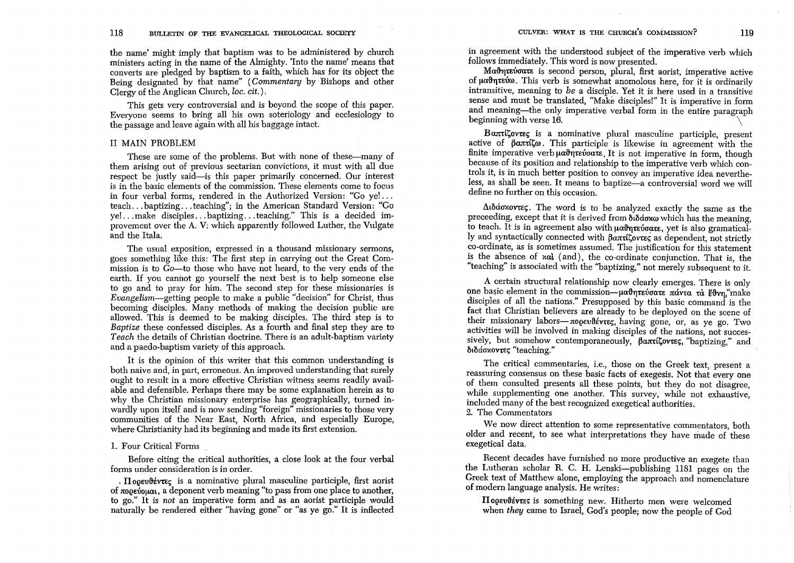the name' might imply that baptism was to be administered by church ministers acting in the name of the Almighty. 'Into the name' means that converts are pledged by baptism to a faith, which has for its object the Being designated by that name" *(Commentary* by Bishops and other Clergy of the Anglican Church, *lac. cit.* ) .

This gets very controversial and is beyond the scope of this paper. Everyone seems to bring all his own soteriology and ecclesiology to the passage and leave again with all his baggage intact.

### II MAIN PROBLEM

These are some of the problems. But with none of these—many of them arising out of previous sectarian convictions, it must with all due respect be justly said-is this paper primarily concerned. Our interest is in the basic elements of the commission. These elements come to focus in four verbal forms, rendered in the Authorized Version: "Go ye! ... teach ... baptizing ... teaching"; in the American Standard Version: "Go ye! ... make disciples ... baptizing ... teaching." This is a decided improvement over the A. V; which apparently followed Luther, the Vulgate and the Itala.

The usual exposition, expressed in a thousand missionary sermons, goes something like this: The first step in carrying out the Great Commission is to *Go-to* those who have not heard, to the very ends of the earth. If you cannot go yourself the next best is to help someone else to go and to pray for him. The second step for these missionaries is *Evangelism-getting* people to make a public "decision" for Christ, thus becoming disciples. Many methods of making the decision public are allowed. This is deemed to be making disciples. The third step is to *Baptize* these confessed disciples. As a fourth and final step they are to *Teach* the details of Christian doctrine. There is an adult-baptism variety and a paedo-baptism variety of this approach.

It is the opinion of this writer that this common understanding is both naive and, in part, erroneous. An improved understanding that surely ought to result in a more effective Christian witness seems readily available and defensible. Perhaps there may be some explanation herein as to why the Christian missionary enterprise has geographically, turned inwardly upon itself and is now sending "foreign" missionaries to those very communities of the Near East, North Africa, and especially Europe, where Christianity had its beginning and made its first extension.

### 1. Four Critical Forms

Before citing the critical authorities, a close look at the four verbal forms under consideration is in order.

.  $\Pi$  operative is a nominative plural masculine participle, first aorist of  $\pi$ opevo $\mu$ a, a deponent verb meaning "to pass from one place to another, to go." It is *not* an imperative form and as an aorist participle would naturally be rendered either "having gone" or "as ye go." It is inHected

in agreement with the understood subject of the imperative verb which follows immediately. This word is now presented.

Ma<sup>t</sup>riative active is second person, plural, first aorist, imperative active of μαθητεύω. This verb is somewhat anomolous here, for it is ordinarily intransitive, meaning to *be* a disciple. Yet it is here used in a transitive sense and must be translated, "Make disciples!" It is imperative in form and meaning-the only imperative verbal form in the entire paragraph beginning with verse 16. \

Bantillovies is a nominative plural masculine participle, present active of  $\beta$ απτίζω. This participle is likewise in agreement with the finite imperative verb  $\mu \alpha \beta \eta \tau \epsilon \nu \alpha \tau \epsilon$ . It is not imperative in form, though because of its position and relationship to the imperative verb which controls it, is in much better position to convey an imperative idea nevertheless, as shall be seen. It means to baptize—a controversial word we will define no further on this occasion.

 $\Delta$ ιδάσκοντες. The word is to be analyzed exactly the same as the preceeding, except that it is derived from  $\delta_1 \delta_2 \sigma_3$  which has the meaning, to teach. It is in agreement also with  $\mu \alpha \vartheta \eta \tau \epsilon \vartheta \sigma \alpha \tau \epsilon$ , yet is also gramatically and syntactically connected with  $\beta$ a $\pi\pi$ ttov $\tau$ es as dependent, not strictly co-ordinate, as is sometimes assumed. The justification for this statement is the absence of xat (and), the co-ordinate conjunction. That is, the "teaching" is associated with the "baptizing," not merely subsequent to it.

A certain structural relationship now clearly emerges. There is only one basic element in the commission- $\mu$ αθητεύσατε πάντα τα έθνη, make disciples of all the nations." Presupposed by this basic command is the fact that Christian believers are already to be deployed on the scene of their missionary labors- $\pi$ 00EvlévtEC, having gone, or, as ye go. Two activities will be involved in making disciples of the nations, not successively, but somehow contemporaneously,  $\beta \alpha \pi t \zeta$ ovtes, "baptizing," and διδάσκοντες "teaching."

The critical commentaries, i.e., those on the Greek text, present a reassuring consensus on these basic facts of exegesis. Not that every one of them consulted presents all these points, but they do not disagree, while supplementing one another. This survey, while not exhaustive, included many of the best recognized exegetical authorities.

# 2. The Commentators

We now direct attention to some representative commentators, both older and recent, to see what interpretations they have made of these exegetical data.

Recent decades have furnished no more productive an exegete than the Lutheran scholar R. C. H. Lenski-publishing 1181 pages on the Greek text of Matthew alone, employing the approach and nomenclature of modern language analysis. He writes:

Hoosvitves is something new. Hitherto men were welcomed when *they* came to Israel, God's people; now the people of God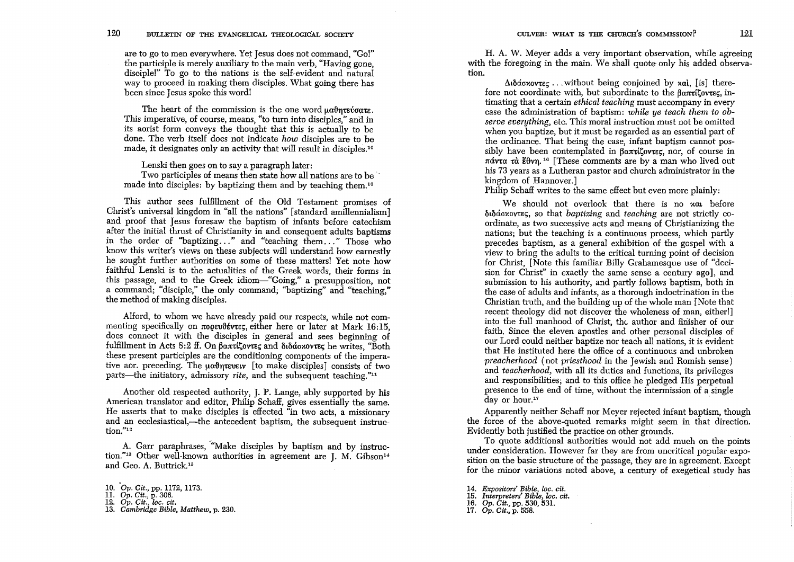are to go to men everywhere. Yet Jesus does not command, "Go!" the participle is merely auxiliary to the main verb, "Having gone, disciple!" To go to the nations is the self-evident and natural way to proceed in making them disciples. What going there has been since Jesus spoke this word!

The heart of the commission is the one word  $\mu\alpha\vartheta\eta\tau\epsilon\vartheta\alpha\tau\epsilon$ . This imperative, of course, means, "to turn into disciples," and in its aorist form conveys the thought that this is actually to be done. The verb itself does not indicate *how* disciples are to be made, it designates only an activity that will result in disciples.<sup>10</sup>

Lenski then goes on to say a paragraph later: Two participles of means then state how all nations are to be made into disciples: by baptizing them and by teaching them.<sup>10</sup>

This author *sees* fulfillment of the Old Testament promises of Christ's universal kingdom in "all the nations" [standard amillennialism] and proof that Jesus foresaw the baptism of infants before catechism after the initial thrust of Christianity in and consequent adults baptisms in the order of "baptizing..." and "teaching them..." Those who know this writer's views on these subjects will understand how earnestly he sought further authorities on some of these matters! Yet note how faithful Lenski is to the actualities of the Greek words, their forms in this passage, and to the Greek idiom-"Going," a presupposition, not a command; "disciple," the only command: "baptizing" and "teaching." the method of making disciples.

Alford, to whom we have already paid our respects, while not commenting specifically on  $\pi$ oosuve traveler here or later at Mark 16:15, does connect it with the disciples in general and *sees* beginning of fulfillment in Acts 8:2 ff. On  $\beta$ anti $\zeta$ ovr $\epsilon$  and  $\delta$ ιδάσκοντες he writes, "Both these present participles are the conditioning components of the imperative aor. preceding. The  $\mu$ a $\vartheta$ ητευειν [to make disciples] consists of two parts-the initiatory, admissory *rite*, and the subsequent teaching."<sup>11</sup>

Another old respected authority, J. P. Lange, ably supported by his American translator and editor, Philip Schaff, gives essentially the same. He asserts that to make disciples is effected "in two acts, a missionary and an ecclesiastical,—the antecedent baptism, the subsequent instruction."12

A. Garr paraphrases, "Make disciples by baptism and by instruction."<sup>13</sup> Other well-known authorities in agreement are J. M. Gibson<sup>14</sup> and Geo. A. Buttrick.'s

H. A. W. Meyer adds a very important observation, while agreeing with the foregoing in the main. We shall quote only his added observation.

 $\Delta \hat{\alpha}$   $\Delta \hat{\alpha}$   $\Delta \hat{\alpha}$   $\Delta \hat{\alpha}$   $\Delta \hat{\alpha}$   $\Delta \hat{\alpha}$   $\Delta \hat{\alpha}$   $\Delta \hat{\alpha}$  is  $\hat{\alpha}$  therefore not coordinate with, but subordinate to the  $\beta$ an $\tau$ i(tov $\tau$ ec, intimating that a certain *ethical teaching* must accompany in every case the administration of baptism: *while ye teach them to observe everything, etc.* This moral instruction must not be omitted when you baptize, but it must be regarded as an essential part of the ordinance. That being the case, infant baptism cannot possibly have been contemplated in  $\beta\alpha\pi i\beta\alpha\nu\tau\epsilon\epsilon$ , nor, of course in  $\pi \alpha v \tau \alpha$   $\tau \alpha$  *i*<sup>6</sup> [These comments are by a man who lived out his 73 years as a Lutheran pastor and church administrator in the kingdom of Hannover.]

Philip Schaff writes to the same effect but even more plainly:

We should not overlook that there is no xan before ~LMo'XoV1:E~, so that *baptizing* and *teaching* are not strictly coordinate, as two successive acts and means of Christianizing the nations; but the teaching is a continuous process, which partly precedes baptism, as a general exhibition of the gospel with a view to bring the adults to the critical turning point of decision for Christ, [Note this familiar Billy Grahamesque use of "decision for Christ" in exactly the same sense a century ago], and submission to his authority, and partly follows baptism, both in the case of adults and infants, as a thorough indoctrination in the Christian truth, and the building up of the whole man [Note that recent theology did not discover the wholeness of man, either!] into the full manhood of Christ, the author and finisher of our faith. Since the eleven apostles and other personal disciples of our Lord could neither baptize nor teach all nations, it is evident that He instituted here the office of a continuous and unbroken *preacherhood* (not *priesthood* in the Jewish and Romish sense) and *teacherhood*, with all its duties and functions, its privileges and responsibilities; and to this office he pledged His perpetual presence to the end of time, without the intermission of a single day or hour.<sup>17</sup>

Apparently neither Schaff nor Meyer rejected infant baptism, though the force of the above-quoted remarks might seem in that direction. Evidently both justified the practice on other grounds.

To quote additional authorities would not add much on the points under consideration. However far they are from uncritical popular exposition on the basic structure of the passage, they are in agreement. Except for the minor variations noted above, a century of exegetical study has

- 15. *Interpreters' Bible, loc. cit.*
- 16. *Gp. Cit.,* pp. 530, 531.
- *17. Gp. Cit.,* p. 558.

<sup>10</sup>*. Op. Cit.*, pp. 1172, 1173.<br>11. *Op. Cit.*, p. 306.<br>12. *Op. Cit., loc. cit.*<br>13. *Cambridge Bible, Matthew,* p. 230.

<sup>14.</sup> *Expositors' Bible, lac. cit.*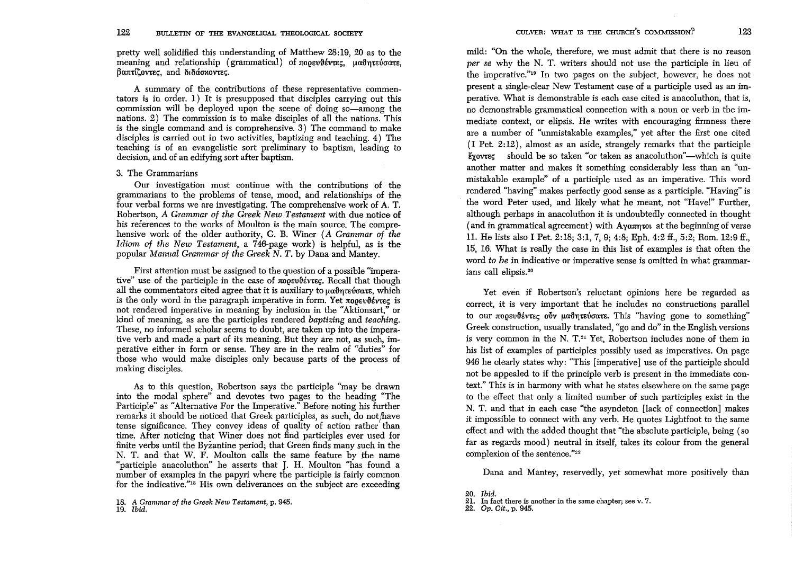pretty well solidified this understanding of Matthew 28:19, 20 as to the meaning and relationship (grammatical) of  $\pi$ 00Ev $\theta$ évrE $\epsilon$ ,  $\mu$  $\alpha$  $\theta$ n $\tau$ Eύσ $\alpha$ τε,  $\beta$ anticovrec, and  $\delta_1\delta_2\delta_3$ verec.

A summary of the contributions of these representative commentators is in order. 1) It is presupposed that disciples carrying out this commission will be deployed upon the scene of doing so—among the nations. 2) The commission is to make disciples of all the nations. This is the single command and is comprehensive. 3) The command to make disciples is carried out in two activities, baptizing and teaching. 4) The teaching is of an evangelistic sort preliminary to baptism, leading to decision, and of an edifying sort after baptism.

## 3. The Grammarians

Our investigation must continue with the contributions of the grammarians to the problems of tense, mood, and relationships of the four verbal forms we are investigating. The comprehensive work of A. T. Robertson, *A Grammar of the Greek New Testament* with due notice of his references to the works of Moulton is the main source. The comprehensive work of the older authority, G. B. Winer (A *Grammar of the Idiom of the New Testament,* a 746-page work) is helpful, as is the popular *Manual Grammm' of the Greek N. T.* by Dana and Mantey.

First attention must be assigned to the question of a possible "imperative" use of the participle in the case of  $\pi$ 00Ev18évtEC. Recall that though all the commentators cited agree that it is auxiliary to  $\mu$ antero'otare, which is the only word in the paragraph imperative in form. Yet  $\pi$ 00 $\epsilon$ usted is not rendered imperative in meaning by inclusion in the "Aktionsart," or kind of meaning, as are the participles rendered *baptizing* and *teaching.*  These, no informed scholar seems to doubt, are taken up into the imperative verb and made a part of its meaning. But they are not, as such, imperative either in form or sense. They are in the realm of "duties" for those who would make disciples only because parts of the process of making disciples.

As to this question, Robertson says the participle "may be drawn into the modal sphere" and devotes two pages to the heading "The Participle" as "Alternative For the Imperative." Before noting his further remarks it should be noticed that Greek participles, as such, do not have tense significance. They convey ideas of quality of action rather than time. After noticing that Winer does not find participles ever used for finite verbs until the Byzantine period; that Green finds many such in the N. T. and that W. F. Moulton calls the same feature by the name "participle anacoluthon" he asserts that J. H. Moulton "has found a number of examples in the papyri where the participle is fairly common for the indicative."18 His own deliverances on the subject are exceeding

mild: "On the whole, therefore, we must admit that there is no reason *per se* why the N. T. writers should not use the participle in lieu of the imperative."19 In two pages on the subject, however, he does not present a single-clear New Testament case of a participle used as an imperative. What is demonstrable is each case cited is anacoluthon, that is, no demonstrable grammatical connection with a noun or verb in the immediate context, or elipsis. He writes with encouraging firmness there are a number of "unmistakable examples," yet after the first one cited (I Pet. 2:12), almost as an aside, strangely remarks that the participle  $\frac{2}{5}$  should be so taken "or taken as anacoluthon"—which is quite another matter and makes it something considerably less than an "unmistakable example" of a participle used as an imperative. This word rendered "having" makes perfectly good sense as a participle. "Having" is the word Peter used, and likely what he meant, not "Have!" Further, although perhaps in anacoluthon it is undoubtedly connected in thought ( and in grammatical agreement) with  $A$ ya $\pi$ ntot at the beginning of verse 11. He lists also I Pet. 2:18; 3:1, 7, 9; 4:8; Eph. 4:2 ff., 5:2; Rom. 12:9 ff., 15, 16. What is really the case in this list of examples is that often the word *to be* in indicative or imperative sense is omitted in what grammarians call elipsis.<sup>20</sup>

Yet even if Robertson's reluctant opinions here be regarded as correct, it is very important that he includes no constructions parallel to our  $\pi$ oo *Evivete* ouv *uadmet of area* This "having gone to something" Greek construction, usually translated, "go and do" in the English versions is very common in the N.  $T<sup>21</sup>$  Yet, Robertson includes none of them in his list of examples of participles possibly used as imperatives. On page 946 he clearly states why: "This [imperative] use of the participle should not be appealed to if the principle verb is present in the immediate context." This is in harmony with what he states elsewhere on the same page to the effect that only a limited number of such participles exist in the N. T. and that in each case "the asyndeton [lack of connection] makes it impossible to connect with any verb. He quotes Lightfoot to the same effect and with the added thought that "the absolute participle, being (so far as regards mood) neutral in itself, takes its colour from the general complexion of the sentence."<sup>22</sup>

Dana and Mantey, reservedly, yet somewhat more positively than

<sup>18.</sup> A *Grammar of the Greek New Testament,* p. 945. *19. Ibid.* 

*<sup>20.</sup> Ibid.* 

<sup>21.</sup> In fact there is another in the same chapter; see v. 7.

*<sup>22.</sup> Op. Cit.,* p. 945.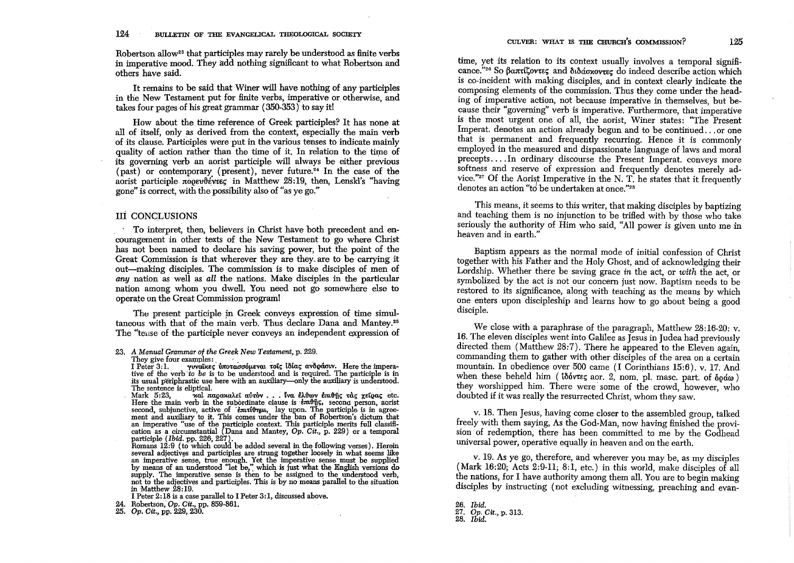Robertson allow<sup>23</sup> that participles may rarely be understood as finite verbs in imperative mood. They add nothing significant to what Robertson and others have said.

It remains to be said that Winer will have nothing of any participles in the New Testament put for finite verbs, imperative or otherwise, and takes four pages of his great grammar  $(350-353)$  to say it!

How about the time reference of Greek participles? It has none at all of itself, only as derived from the context, especially the main verb of its clause. Participles were put in the various tenses to indicate mainly quality of action rather than the time of it. In relation to the time of its governing verb an aorist participle will always be either previous  $(\text{past})$  or contemporary (present), never future.<sup>24</sup> In the case of the aorist participle  $\pi$ 00 $\epsilon v$ 0 $\epsilon'$ vr $\epsilon \epsilon'$  in Matthew 28:19, then, Lenski's "having gone" is correct, with the possibility also of "as ye go."

## III CONCLUSIONS

. To interpret, then, believers in Christ have both precedent and encouragement in other texts of the New Testament to go where Christ has not been named to declare his saving power, but the point of the Great Commission is that wherever they are they are to be carrying it out-making disciples. The commission is to make disciples of men of *any* nation as well as *all* the nations. Make disciples in the particular nation among whom you dwell. You need not go somewhere else to operate on the Great Commission program!

The present participle in Greek conveys expression of time simultaneous with that of the main verb. Thus declare Dana and Mantey.<sup>25</sup> The "teilse of the participle never conveys an independent expression of

23. A Manual Grammar of the Greek New Testament, p. 229. They give four examples:

They give four examples: . . . ' ' • I Peter 3: 1. i'l1Vai:KE~ im'o.M0'6JLEVIXL .OL<; tllUx~ lX'VIIQMLV. Here the imperative of the verb *to be* is to be understood and is required. The participle is in its usual periphrastic use here with an auxiliary—only the auxiliary is understood.<br>The sentence is eliptical.

The sentence is eliptical. The sentence is extended with the state of the Mark 5:23, wal παρακαλεί αύτον ... ίνα έλθων έπιθης τας χείρας etc. Here the main verb in the subordinate clause is  $\epsilon$ m.flished person, aorist second, subjunctive, active of 'bartithum, lay upon. The participle is in agreement and auxiliary to it. This comes under the ban of Robertson's dictum that ment and auxiliary to it. This comes under the ban of Robertson's dictum that<br>an imperative "use of the participle context. This participle merits full classifi-<br>cation as a circumstantial (Dana and Mantey, Op. Cit., p. 22

participle *(Ibid.* pp. 226, 227). Romans 12:9 (to which could be added several in the following verses). Herein several adjectives and participles are strung together loosely in what seems like<br>an imperative sense, true enough. Yet the imperative sense must be supplied<br>by means of an understood "let be," which is just what the Engli supply. The imperative sense is then to be assigned to the understood verb, not to the adjectives and participles. This is by no means parallel to the situation in Matthew 28:19.

I Peter 2:18 is a case parallel to I Peter 3:1, discussed above.

24. Robertson, *Op. Cit.,* pp. 859-86l.

*25. Op. Cit.,* pp. 229, 230.

time, yet its relation to its context usually involves a temporal significance."<sup>26</sup> So  $\beta$ απτίζοντες and διδάσχοντες do indeed describe action which is co-incident with making disciples, and in context clearly indicate the composing elements of the commission. Thus they come under the heading of imperative action, not because imperative in themselves, but because their "governing" verb is imperative. Furthermore, that imperative is the most urgent one of all, the aorist, Winer states: "The Present Imperat. denotes an action already begun and to be continued ... or one that is permanent and frequently recurring. Hence it is commonly employed in the measured and dispassionate language of laws and moral precepts .... In ordinary discourse the Present Imperat. conveys more softness and reserve of expression and frequently denotes merely advice."<sup>27</sup> Of the Aorist Imperative in the N. T. he states that it frequently denotes an action "to be undertaken at once."<sup>28</sup>

This means, it seems to this writer, that making disciples by baptizing and teaching them is no injunction to be trilled with by those who take seriously the authority of Him who said, "All power is given unto me in heaven and in earth."

Baptism appears as the normal mode of initial confession of Christ together with his Father and the Holy Ghost, and of acknowledging their Lordship. Whether there be saving grace *in* the act, or *with* the act, or symbolized by the act is not our concern just now. Baptism needs to be restored to its significance, along with teaching as the means by which one enters upon discipleship and learns how to go about being a good disciple.

We close with a paraphrase of the paragraph, Matthew 28:16-20: v. 16. The eleven disciples went into Galilee as Jesus in Judea had previously directed them (Matthew 28:7). There he appeared to the Eleven again, commanding them to gather with other disciples of the area on a certain mountain. In obedience over 500 came (I Corinthians 15:6). v. 17. And when these beheld him ( $i\delta$ óvt $\epsilon$ ç aor. 2, nom. pl. masc. part. of  $\delta$ o $\alpha$ ) they worshipped him. There were' some of the crowd, however, who doubted if it was really the resurrected Christ, whom they saw.

v. 18. Then Jesus, having come closer to the assembled group, talked freely with them saying, As the God-Man, now having finished the provision of redemption, there has been committed to me by the Godhead universal power, operative equally in heaven and on the earth.

v. 19. As ye go, therefore, and wherever you may be, as my disciples (Mark 16:20; Acts 2:9-11; 8:1, etc.) in this world, make disciples of all the nations, for I have authority among them all. You are to begin making disciples by instructing (not excluding witnessing, preaching and evan-

*26. Ibid. 27. Op. Cit.,* p. 313. *28. Ibid.*